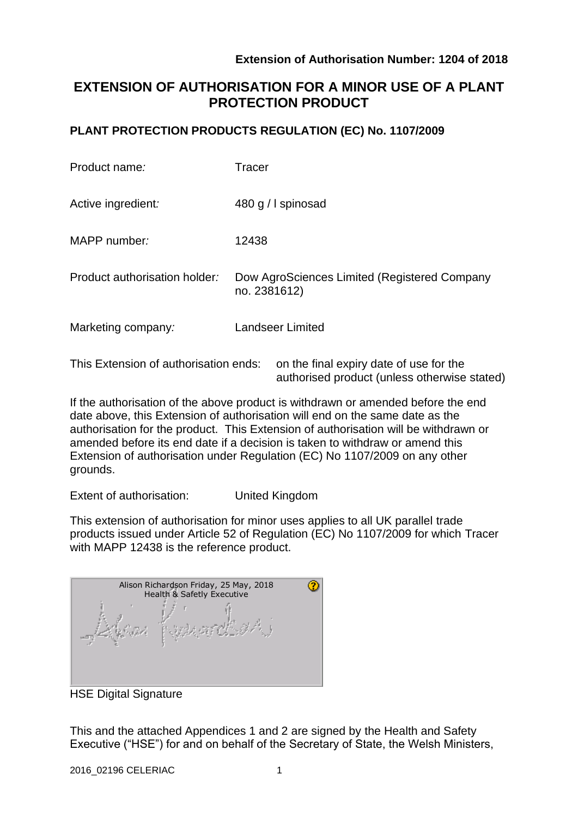authorised product (unless otherwise stated)

# **EXTENSION OF AUTHORISATION FOR A MINOR USE OF A PLANT PROTECTION PRODUCT**

### **PLANT PROTECTION PRODUCTS REGULATION (EC) No. 1107/2009**

| Product name:                         | Tracer                                                       |  |  |
|---------------------------------------|--------------------------------------------------------------|--|--|
| Active ingredient:                    | 480 g / I spinosad                                           |  |  |
| MAPP number:                          | 12438                                                        |  |  |
| Product authorisation holder:         | Dow AgroSciences Limited (Registered Company<br>no. 2381612) |  |  |
| Marketing company:                    | <b>Landseer Limited</b>                                      |  |  |
| This Extension of authorisation ends: | on the final expiry date of use for the                      |  |  |

If the authorisation of the above product is withdrawn or amended before the end date above, this Extension of authorisation will end on the same date as the authorisation for the product. This Extension of authorisation will be withdrawn or amended before its end date if a decision is taken to withdraw or amend this Extension of authorisation under Regulation (EC) No 1107/2009 on any other grounds.

Extent of authorisation: United Kingdom

This extension of authorisation for minor uses applies to all UK parallel trade products issued under Article 52 of Regulation (EC) No 1107/2009 for which Tracer with MAPP 12438 is the reference product.

| Alison Richardson Friday, 25 May, 2018<br>Health & Safetly Executive |  |  |  |  |
|----------------------------------------------------------------------|--|--|--|--|
|                                                                      |  |  |  |  |

HSE Digital Signature

This and the attached Appendices 1 and 2 are signed by the Health and Safety Executive ("HSE") for and on behalf of the Secretary of State, the Welsh Ministers,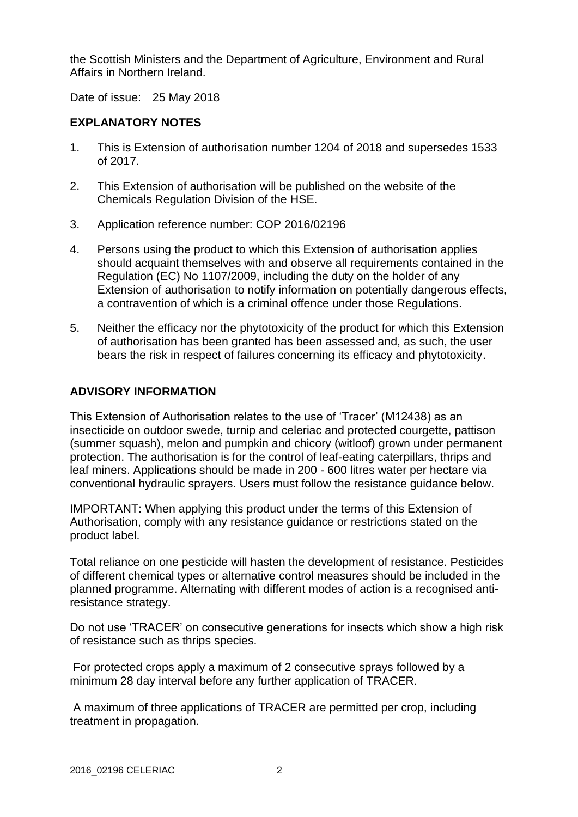the Scottish Ministers and the Department of Agriculture, Environment and Rural Affairs in Northern Ireland.

Date of issue: 25 May 2018

### **EXPLANATORY NOTES**

- 1. This is Extension of authorisation number 1204 of 2018 and supersedes 1533 of 2017.
- 2. This Extension of authorisation will be published on the website of the Chemicals Regulation Division of the HSE.
- 3. Application reference number: COP 2016/02196
- 4. Persons using the product to which this Extension of authorisation applies should acquaint themselves with and observe all requirements contained in the Regulation (EC) No 1107/2009, including the duty on the holder of any Extension of authorisation to notify information on potentially dangerous effects, a contravention of which is a criminal offence under those Regulations.
- 5. Neither the efficacy nor the phytotoxicity of the product for which this Extension of authorisation has been granted has been assessed and, as such, the user bears the risk in respect of failures concerning its efficacy and phytotoxicity.

### **ADVISORY INFORMATION**

This Extension of Authorisation relates to the use of 'Tracer' (M12438) as an insecticide on outdoor swede, turnip and celeriac and protected courgette, pattison (summer squash), melon and pumpkin and chicory (witloof) grown under permanent protection. The authorisation is for the control of leaf-eating caterpillars, thrips and leaf miners. Applications should be made in 200 - 600 litres water per hectare via conventional hydraulic sprayers. Users must follow the resistance guidance below.

IMPORTANT: When applying this product under the terms of this Extension of Authorisation, comply with any resistance guidance or restrictions stated on the product label.

Total reliance on one pesticide will hasten the development of resistance. Pesticides of different chemical types or alternative control measures should be included in the planned programme. Alternating with different modes of action is a recognised antiresistance strategy.

Do not use 'TRACER' on consecutive generations for insects which show a high risk of resistance such as thrips species.

For protected crops apply a maximum of 2 consecutive sprays followed by a minimum 28 day interval before any further application of TRACER.

A maximum of three applications of TRACER are permitted per crop, including treatment in propagation.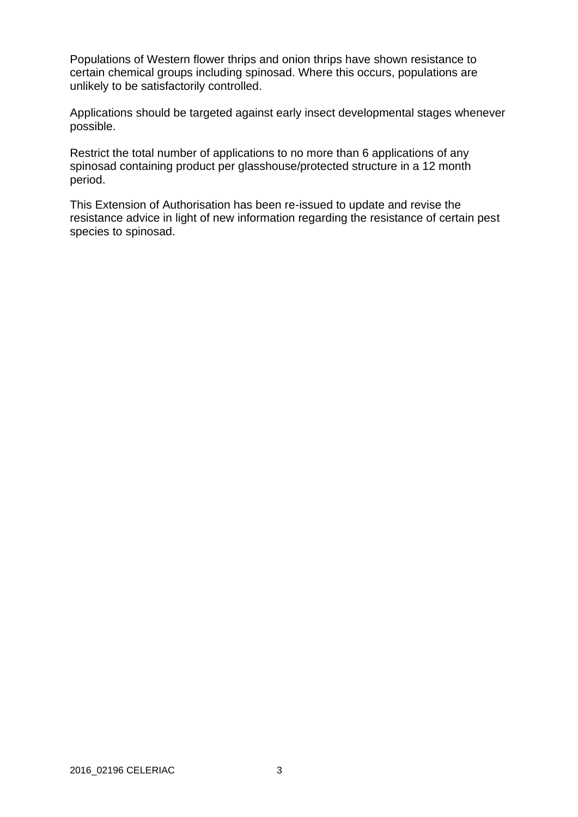Populations of Western flower thrips and onion thrips have shown resistance to certain chemical groups including spinosad. Where this occurs, populations are unlikely to be satisfactorily controlled.

Applications should be targeted against early insect developmental stages whenever possible.

Restrict the total number of applications to no more than 6 applications of any spinosad containing product per glasshouse/protected structure in a 12 month period.

This Extension of Authorisation has been re-issued to update and revise the resistance advice in light of new information regarding the resistance of certain pest species to spinosad.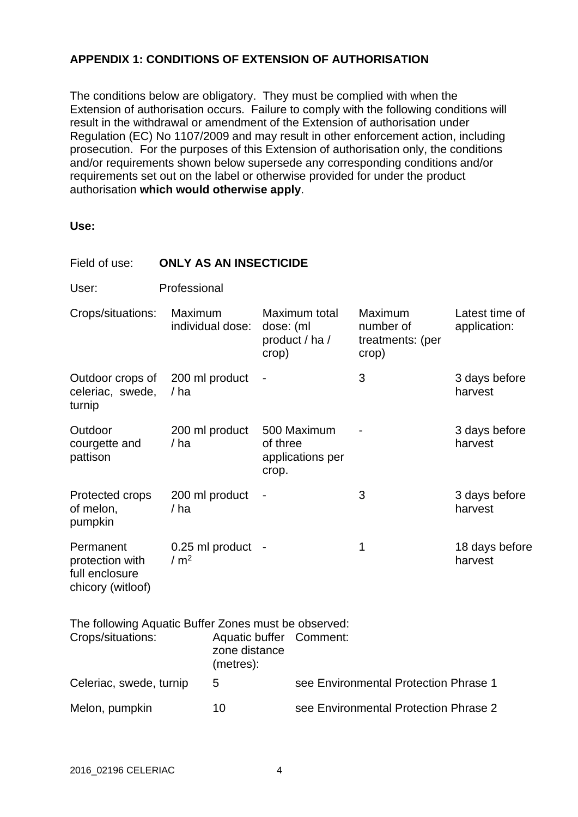## **APPENDIX 1: CONDITIONS OF EXTENSION OF AUTHORISATION**

The conditions below are obligatory. They must be complied with when the Extension of authorisation occurs. Failure to comply with the following conditions will result in the withdrawal or amendment of the Extension of authorisation under Regulation (EC) No 1107/2009 and may result in other enforcement action, including prosecution. For the purposes of this Extension of authorisation only, the conditions and/or requirements shown below supersede any corresponding conditions and/or requirements set out on the label or otherwise provided for under the product authorisation **which would otherwise apply**.

**Use:**

| Field of use:                                                             | <b>ONLY AS AN INSECTICIDE</b> |                            |                    |                                             |                                                   |                                |  |  |  |
|---------------------------------------------------------------------------|-------------------------------|----------------------------|--------------------|---------------------------------------------|---------------------------------------------------|--------------------------------|--|--|--|
| User:                                                                     | Professional                  |                            |                    |                                             |                                                   |                                |  |  |  |
| Crops/situations:                                                         | Maximum                       | individual dose:           | dose: (ml<br>crop) | Maximum total<br>product / ha /             | Maximum<br>number of<br>treatments: (per<br>crop) | Latest time of<br>application: |  |  |  |
| Outdoor crops of<br>celeriac, swede,<br>turnip                            | / ha                          | 200 ml product             |                    |                                             | 3                                                 | 3 days before<br>harvest       |  |  |  |
| Outdoor<br>courgette and<br>pattison                                      | /ha                           | 200 ml product             |                    | 500 Maximum<br>of three<br>applications per |                                                   | 3 days before<br>harvest       |  |  |  |
| Protected crops<br>of melon,<br>pumpkin                                   | /ha                           | 200 ml product             |                    |                                             | 3                                                 | 3 days before<br>harvest       |  |  |  |
| Permanent<br>protection with<br>full enclosure<br>chicory (witloof)       | / $m2$                        | 0.25 ml product -          |                    |                                             | 1                                                 | 18 days before<br>harvest      |  |  |  |
| The following Aquatic Buffer Zones must be observed:<br>Crops/situations: |                               | zone distance<br>(metres): |                    | Aquatic buffer Comment:                     |                                                   |                                |  |  |  |
| Celeriac, swede, turnip                                                   |                               | 5                          |                    | see Environmental Protection Phrase 1       |                                                   |                                |  |  |  |
| Melon, pumpkin                                                            |                               | 10                         |                    | see Environmental Protection Phrase 2       |                                                   |                                |  |  |  |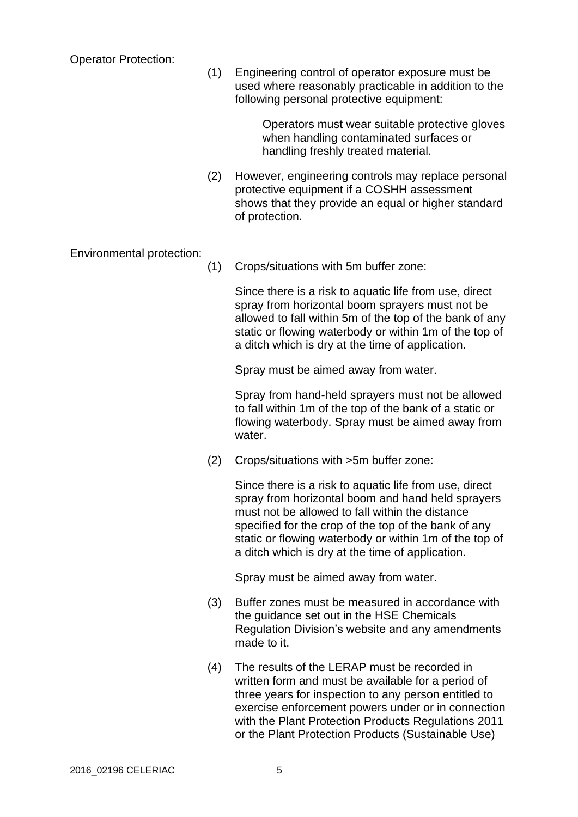Operator Protection:

(1) Engineering control of operator exposure must be used where reasonably practicable in addition to the following personal protective equipment:

> Operators must wear suitable protective gloves when handling contaminated surfaces or handling freshly treated material.

(2) However, engineering controls may replace personal protective equipment if a COSHH assessment shows that they provide an equal or higher standard of protection.

Environmental protection:

(1) Crops/situations with 5m buffer zone:

Since there is a risk to aquatic life from use, direct spray from horizontal boom sprayers must not be allowed to fall within 5m of the top of the bank of any static or flowing waterbody or within 1m of the top of a ditch which is dry at the time of application.

Spray must be aimed away from water.

Spray from hand-held sprayers must not be allowed to fall within 1m of the top of the bank of a static or flowing waterbody. Spray must be aimed away from water.

(2) Crops/situations with >5m buffer zone:

Since there is a risk to aquatic life from use, direct spray from horizontal boom and hand held sprayers must not be allowed to fall within the distance specified for the crop of the top of the bank of any static or flowing waterbody or within 1m of the top of a ditch which is dry at the time of application.

Spray must be aimed away from water.

- (3) Buffer zones must be measured in accordance with the guidance set out in the HSE Chemicals Regulation Division's website and any amendments made to it.
- (4) The results of the LERAP must be recorded in written form and must be available for a period of three years for inspection to any person entitled to exercise enforcement powers under or in connection with the Plant Protection Products Regulations 2011 or the Plant Protection Products (Sustainable Use)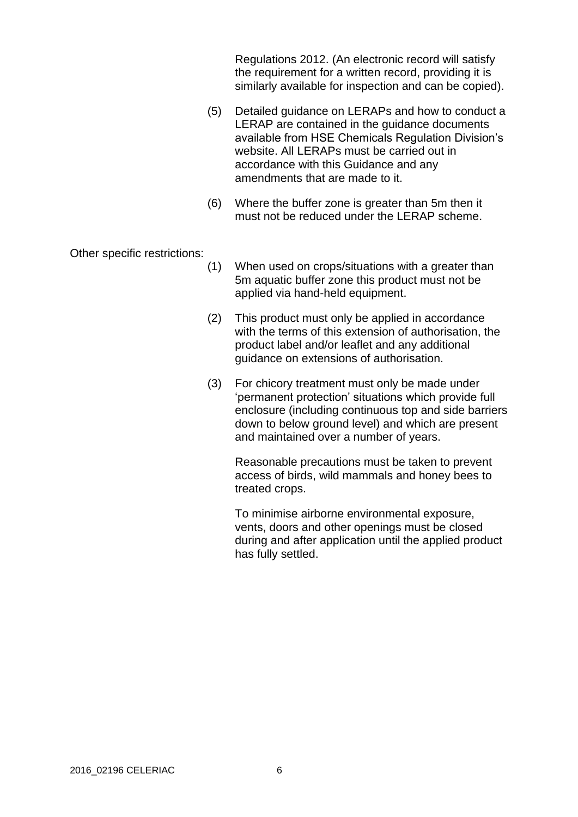Regulations 2012. (An electronic record will satisfy the requirement for a written record, providing it is similarly available for inspection and can be copied).

- (5) Detailed guidance on LERAPs and how to conduct a LERAP are contained in the guidance documents available from HSE Chemicals Regulation Division's website. All LERAPs must be carried out in accordance with this Guidance and any amendments that are made to it.
- (6) Where the buffer zone is greater than 5m then it must not be reduced under the LERAP scheme.

Other specific restrictions:

- (1) When used on crops/situations with a greater than 5m aquatic buffer zone this product must not be applied via hand-held equipment.
- (2) This product must only be applied in accordance with the terms of this extension of authorisation, the product label and/or leaflet and any additional guidance on extensions of authorisation.
- (3) For chicory treatment must only be made under 'permanent protection' situations which provide full enclosure (including continuous top and side barriers down to below ground level) and which are present and maintained over a number of years.

Reasonable precautions must be taken to prevent access of birds, wild mammals and honey bees to treated crops.

To minimise airborne environmental exposure, vents, doors and other openings must be closed during and after application until the applied product has fully settled.